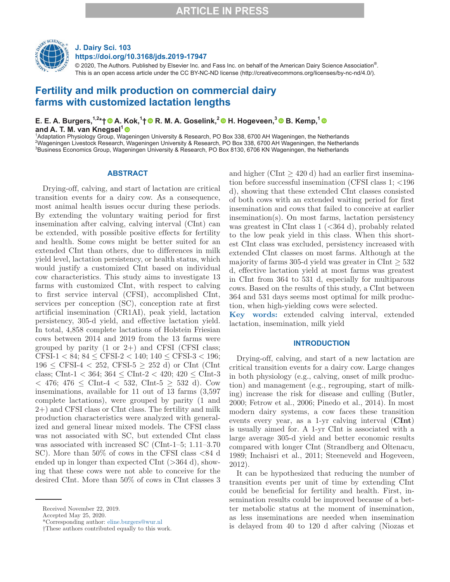

# **J. Dairy Sci. 103**

**https://doi.org/10.3168/jds.2019-17947**

 $@$  2020, The Authors. Published by Elsevier Inc. and Fass Inc. on behalf of the American Dairy Science Association $^{\circ}$ . This is an open access article under the CC BY-NC-ND license (http://creativecommons.org/licenses/by-nc-nd/4.0/).

## **Fertility and milk production on commercial dairy farms with customized lactation lengths**

**E. E. A. Burgers,1,2\*[† A](https://orcid.org/0000-0002-1586-1570). [Ko](https://orcid.org/0000-0003-1959-3363)k,1 [† R](https://orcid.org/0000-0002-6024-5339). M. A. Goselink,2H. Hogeveen,[3 B](https://orcid.org/0000-0002-9443-1412). Kemp,1**

and A. T. M. van Knegsel<sup>1</sup><sup>®</sup>

1 Adaptation Physiology Group, Wageningen University & Research, PO Box 338, 6700 AH Wageningen, the Netherlands 2 Wageningen Livestock Research, Wageningen University & Research, PO Box 338, 6700 AH Wageningen, the Netherlands  $^3$ Business Economics Group, Wageningen University & Research, PO Box 8130, 6706 KN Wageningen, the Netherlands

### **ABSTRACT**

Drying-off, calving, and start of lactation are critical transition events for a dairy cow. As a consequence, most animal health issues occur during these periods. By extending the voluntary waiting period for first insemination after calving, calving interval (CInt) can be extended, with possible positive effects for fertility and health. Some cows might be better suited for an extended CInt than others, due to differences in milk yield level, lactation persistency, or health status, which would justify a customized CInt based on individual cow characteristics. This study aims to investigate 13 farms with customized CInt, with respect to calving to first service interval (CFSI), accomplished CInt, services per conception (SC), conception rate at first artificial insemination (CR1AI), peak yield, lactation persistency, 305-d yield, and effective lactation yield. In total, 4,858 complete lactations of Holstein Friesian cows between 2014 and 2019 from the 13 farms were grouped by parity  $(1 \text{ or } 2+)$  and CFSI (CFSI class; CFSI-1 < 84; 84 < CFSI-2 < 140; 140 < CFSI-3 < 196;  $196 \leq CFSI-4 < 252$ , CFSI- $5 \geq 252$  d) or CInt (CInt class; CInt-1 < 364;  $364 \leq$  CInt-2 <  $420$ ;  $420 \leq$  CInt-3  $< 476$ ;  $476 \leq$  CInt-4  $< 532$ , CInt-5  $\geq$  532 d). Cow inseminations, available for 11 out of 13 farms (3,597 complete lactations), were grouped by parity (1 and 2+) and CFSI class or CInt class. The fertility and milk production characteristics were analyzed with generalized and general linear mixed models. The CFSI class was not associated with SC, but extended CInt class was associated with increased SC (CInt-1–5; 1.11–3.70 SC). More than  $50\%$  of cows in the CFSI class  $<84$  d ended up in longer than expected CInt  $(>364 \text{ d})$ , showing that these cows were not able to conceive for the desired CInt. More than 50% of cows in CInt classes 3

\*Corresponding author: [eline.burgers@wur.nl](mailto:eline.burgers@wur.nl)

and higher (CInt  $\geq$  420 d) had an earlier first insemination before successful insemination (CFSI class 1; <196 d), showing that these extended CInt classes consisted of both cows with an extended waiting period for first insemination and cows that failed to conceive at earlier insemination(s). On most farms, lactation persistency was greatest in CInt class 1 (<364 d), probably related to the low peak yield in this class. When this shortest CInt class was excluded, persistency increased with extended CInt classes on most farms. Although at the majority of farms 305-d yield was greater in CInt  $> 532$ d, effective lactation yield at most farms was greatest in CInt from 364 to 531 d, especially for multiparous cows. Based on the results of this study, a CInt between 364 and 531 days seems most optimal for milk production, when high-yielding cows were selected.

**Key words:** extended calving interval, extended lactation, insemination, milk yield

### **INTRODUCTION**

Drying-off, calving, and start of a new lactation are critical transition events for a dairy cow. Large changes in both physiology (e.g., calving, onset of milk production) and management (e.g., regrouping, start of milking) increase the risk for disease and culling (Butler, 2000; Fetrow et al., 2006; Pinedo et al., 2014). In most modern dairy systems, a cow faces these transition events every year, as a 1-yr calving interval (**CInt**) is usually aimed for. A 1-yr CInt is associated with a large average 305-d yield and better economic results compared with longer CInt (Strandberg and Oltenacu, 1989; Inchaisri et al., 2011; Steeneveld and Hogeveen, 2012).

It can be hypothesized that reducing the number of transition events per unit of time by extending CInt could be beneficial for fertility and health. First, insemination results could be improved because of a better metabolic status at the moment of insemination, as less inseminations are needed when insemination is delayed from 40 to 120 d after calving (Niozas et

Received November 22, 2019.

Accepted May 25, 2020.

<sup>†</sup>These authors contributed equally to this work.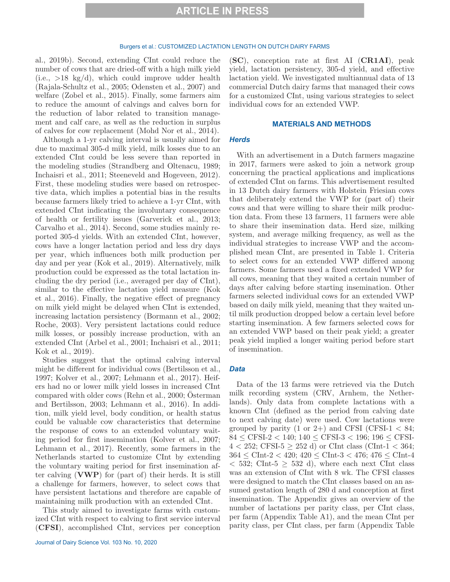#### Burgers et al.: CUSTOMIZED LACTATION LENGTH ON DUTCH DAIRY FARMS

al., 2019b). Second, extending CInt could reduce the number of cows that are dried-off with a high milk yield  $(i.e., >18 \text{ kg/d})$ , which could improve udder health (Rajala-Schultz et al., 2005; Odensten et al., 2007) and welfare (Zobel et al., 2015). Finally, some farmers aim to reduce the amount of calvings and calves born for the reduction of labor related to transition management and calf care, as well as the reduction in surplus of calves for cow replacement (Mohd Nor et al., 2014).

Although a 1-yr calving interval is usually aimed for due to maximal 305-d milk yield, milk losses due to an extended CInt could be less severe than reported in the modeling studies (Strandberg and Oltenacu, 1989; Inchaisri et al., 2011; Steeneveld and Hogeveen, 2012). First, these modeling studies were based on retrospective data, which implies a potential bias in the results because farmers likely tried to achieve a 1-yr CInt, with extended CInt indicating the involuntary consequence of health or fertility issues (Garverick et al., 2013; Carvalho et al., 2014). Second, some studies mainly reported 305-d yields. With an extended CInt, however, cows have a longer lactation period and less dry days per year, which influences both milk production per day and per year (Kok et al., 2019). Alternatively, milk production could be expressed as the total lactation including the dry period (i.e., averaged per day of CInt), similar to the effective lactation yield measure (Kok et al., 2016). Finally, the negative effect of pregnancy on milk yield might be delayed when CInt is extended, increasing lactation persistency (Bormann et al., 2002; Roche, 2003). Very persistent lactations could reduce milk losses, or possibly increase production, with an extended CInt (Arbel et al., 2001; Inchaisri et al., 2011; Kok et al., 2019).

Studies suggest that the optimal calving interval might be different for individual cows (Bertilsson et al., 1997; Kolver et al., 2007; Lehmann et al., 2017). Heifers had no or lower milk yield losses in increased CInt compared with older cows (Rehn et al., 2000; Österman and Bertilsson, 2003; Lehmann et al., 2016). In addition, milk yield level, body condition, or health status could be valuable cow characteristics that determine the response of cows to an extended voluntary waiting period for first insemination (Kolver et al., 2007; Lehmann et al., 2017). Recently, some farmers in the Netherlands started to customize CInt by extending the voluntary waiting period for first insemination after calving (**VWP**) for (part of) their herds. It is still a challenge for farmers, however, to select cows that have persistent lactations and therefore are capable of maintaining milk production with an extended CInt.

This study aimed to investigate farms with customized CInt with respect to calving to first service interval (**CFSI**), accomplished CInt, services per conception (**SC**), conception rate at first AI (**CR1AI**), peak yield, lactation persistency, 305-d yield, and effective lactation yield. We investigated multiannual data of 13 commercial Dutch dairy farms that managed their cows for a customized CInt, using various strategies to select individual cows for an extended VWP.

#### **MATERIALS AND METHODS**

#### *Herds*

With an advertisement in a Dutch farmers magazine in 2017, farmers were asked to join a network group concerning the practical applications and implications of extended CInt on farms. This advertisement resulted in 13 Dutch dairy farmers with Holstein Friesian cows that deliberately extend the VWP for (part of) their cows and that were willing to share their milk production data. From these 13 farmers, 11 farmers were able to share their insemination data. Herd size, milking system, and average milking frequency, as well as the individual strategies to increase VWP and the accomplished mean CInt, are presented in Table 1. Criteria to select cows for an extended VWP differed among farmers. Some farmers used a fixed extended VWP for all cows, meaning that they waited a certain number of days after calving before starting insemination. Other farmers selected individual cows for an extended VWP based on daily milk yield, meaning that they waited until milk production dropped below a certain level before starting insemination. A few farmers selected cows for an extended VWP based on their peak yield; a greater peak yield implied a longer waiting period before start of insemination.

### *Data*

Data of the 13 farms were retrieved via the Dutch milk recording system (CRV, Arnhem, the Netherlands). Only data from complete lactations with a known CInt (defined as the period from calving date to next calving date) were used. Cow lactations were grouped by parity  $(1 \text{ or } 2+)$  and CFSI  $(CFSI-1 < 84;$ 84 ≤ CFSI-2 < 140; 140 ≤ CFSI-3 < 196; 196 ≤ CFSI- $4 < 252$ ; CFSI- $5 \ge 252$  d) or CInt class (CInt- $1 < 364$ ;  $364 \leq$  CInt-2  $< 420$ ;  $420 \leq$  CInt-3  $< 476$ ;  $476 \leq$  CInt-4  $<$  532; CInt-5  $\geq$  532 d), where each next CInt class was an extension of CInt with 8 wk. The CFSI classes were designed to match the CInt classes based on an assumed gestation length of 280 d and conception at first insemination. The Appendix gives an overview of the number of lactations per parity class, per CInt class, per farm (Appendix Table A1), and the mean CInt per parity class, per CInt class, per farm (Appendix Table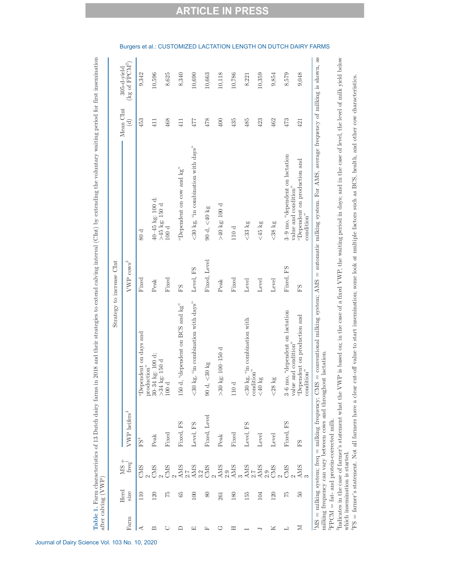#### Burgers et al.: CUSTOMIZED LACTATION LENGTH ON DUTCH DAIRY FARMS

|             |                |                          |                                                                                                           |                                                                                                             | Strategy to increase CInt                                            |                                                                              |                            |                                           |
|-------------|----------------|--------------------------|-----------------------------------------------------------------------------------------------------------|-------------------------------------------------------------------------------------------------------------|----------------------------------------------------------------------|------------------------------------------------------------------------------|----------------------------|-------------------------------------------|
| Farm        | Herd<br>size   | $MS +$<br>$freq^1$       | VWP heifers <sup>3</sup>                                                                                  |                                                                                                             | $\ensuremath{\text{VWP}\xspace}$ $\ensuremath{\text{cows}}\xspace^3$ |                                                                              | Mean CInt<br>$\widehat{c}$ | (kg of $\mathrm{FPCM}^2$<br>$305-d-yield$ |
| ⋖           | 110            | CMS                      | $\mathrm{FS}^4$                                                                                           | "Dependent on days and                                                                                      | Fixed                                                                | 80d                                                                          | 453                        | 9,342                                     |
|             | 120            | CMS                      | Peak                                                                                                      | 30-34 kg: 100 d;<br>production"                                                                             | Peak                                                                 | 40-45 kg: 100 d;                                                             | 411                        | 10,596                                    |
| ○           | ζŹ,            | CMS                      | Fixed                                                                                                     | $\frac{1 \text{ kg: } 150 \text{ d}}{\text{d}}$<br>${>}\,34$<br>100                                         | Fixed                                                                | $>45$ kg: 150 d<br>$100~\mathrm{d}$                                          | 468                        | $8,625$                                   |
| ≏           | 65             | $\frac{\text{AMS}}{2.7}$ | Fixed, FS                                                                                                 | d, "dependent on BCS and kg"<br>150                                                                         | FS                                                                   | "Dependent on cow and kg"                                                    | 411                        | 8,340                                     |
| 囯           | 100            | $\frac{\text{AMS}}{3.2}$ | Level, FS                                                                                                 | $kg,$ "in combination with $\rm days"$<br>$< 30$                                                            | Level, FS                                                            | $<$ 30 kg, "in combination with days"                                        | 477                        | 10,690                                    |
| 匞           | 80             | CMS                      | Fixed, Level                                                                                              | $<$ 30 $\,\mathrm{kg}$<br>90d,                                                                              | Fixed, Level                                                         | $90$ d, $<\!\!40$ kg                                                         | 478                        | 10,663                                    |
| ℧           | 261            | <b>AMS</b>               | Peak                                                                                                      | kg: 100-150 d<br>$\frac{30}{2}$                                                                             | Peak                                                                 | $>40$ kg: 100 d                                                              | 400                        | 10,118                                    |
| 〓           | 180            | AMS<br>2.9               | Fixed                                                                                                     | ರ<br>110                                                                                                    | Fixed                                                                | 110d                                                                         | 435                        | 10,786                                    |
|             | 155            | AMS                      | Level, FS                                                                                                 | $\text{kg},$ "in combination with<br>$\lesssim\!30$                                                         | Level                                                                | $<\!33$ kg                                                                   | 485                        | 8,221                                     |
| J           | 104            | AMS<br>2.7               | Level                                                                                                     | $\operatorname{condition}$ "<br>$\overline{\mathbf{k}}$ g<br>$rac{40}{5}$                                   | Level                                                                | $<\!45~\mathrm{kg}$                                                          | 423                        | 10,359                                    |
| ≍           | 120            | CMS<br>2.9               | Level                                                                                                     | $\frac{kg}{4}$<br>$<28$                                                                                     | Level                                                                | $<38~\mathrm{kg}$                                                            | 462                        | 9,854                                     |
| 山           | 52             | CMS                      | Fixed, FS                                                                                                 | mo, "dependent on lactation<br>$3 - 6$                                                                      | Fixed, FS                                                            | 3-9 mo, "dependent on lactation                                              | 473                        | 8,579                                     |
| $\mathbb N$ | $\mathbb{S}^1$ | <b>AMS</b>               | FS                                                                                                        | "Dependent on production and<br>value and condition"<br>$\rm{condition}$ "                                  | ΕS                                                                   | "Dependent on production and<br>value and condition"<br>condition"           | 421                        | 9,048                                     |
|             |                |                          | $MS =$ milking system; freq $=$ milking frequency; CM<br>${}^{2}$ FPCM = fat- and protein-corrected milk. | $S =$ conventional milking system; AMS<br>milking frequency can vary between cows and throughout lactation. | $\parallel$                                                          | automatic milking system. For AMS, average frequency of milking is shown, as |                            |                                           |

4FS = farmer's statement. Not all farmers have a clear cut-off value to start insemination; some look at multiple factors such as BCS, health, and other cow characteristics.

FS = farmer's statement. Not all farmers have a clear cut-off value to start insemination; some look at multiple factors such as BCS, health, and other cow characteristics.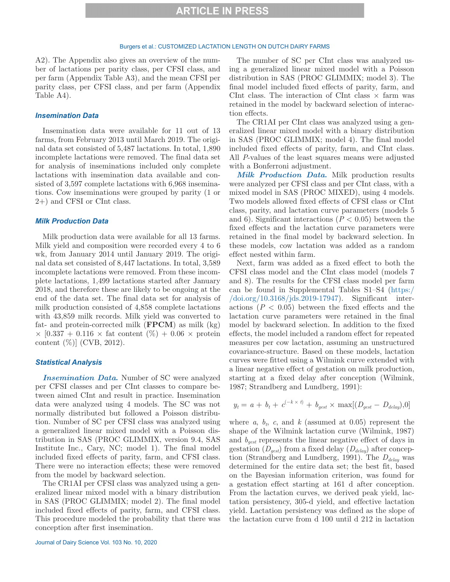#### Burgers et al.: CUSTOMIZED LACTATION LENGTH ON DUTCH DAIRY FARMS

A2). The Appendix also gives an overview of the number of lactations per parity class, per CFSI class, and per farm (Appendix Table A3), and the mean CFSI per parity class, per CFSI class, and per farm (Appendix Table A4).

#### *Insemination Data*

Insemination data were available for 11 out of 13 farms, from February 2013 until March 2019. The original data set consisted of 5,487 lactations. In total, 1,890 incomplete lactations were removed. The final data set for analysis of inseminations included only complete lactations with insemination data available and consisted of 3,597 complete lactations with 6,968 inseminations. Cow inseminations were grouped by parity (1 or 2+) and CFSI or CInt class.

#### *Milk Production Data*

Milk production data were available for all 13 farms. Milk yield and composition were recorded every 4 to 6 wk, from January 2014 until January 2019. The original data set consisted of 8,447 lactations. In total, 3,589 incomplete lactations were removed. From these incomplete lactations, 1,499 lactations started after January 2018, and therefore these are likely to be ongoing at the end of the data set. The final data set for analysis of milk production consisted of 4,858 complete lactations with 43,859 milk records. Milk yield was converted to fat- and protein-corrected milk (**FPCM**) as milk (kg)  $\times$  [0.337 + 0.116  $\times$  fat content (%) + 0.06  $\times$  protein content  $(\%)$  (CVB, 2012).

### *Statistical Analysis*

*Insemination Data.* Number of SC were analyzed per CFSI classes and per CInt classes to compare between aimed CInt and result in practice. Insemination data were analyzed using 4 models. The SC was not normally distributed but followed a Poisson distribution. Number of SC per CFSI class was analyzed using a generalized linear mixed model with a Poisson distribution in SAS (PROC GLIMMIX, version 9.4, SAS Institute Inc., Cary, NC; model 1). The final model included fixed effects of parity, farm, and CFSI class. There were no interaction effects; these were removed from the model by backward selection.

The CR1AI per CFSI class was analyzed using a generalized linear mixed model with a binary distribution in SAS (PROC GLIMMIX; model 2). The final model included fixed effects of parity, farm, and CFSI class. This procedure modeled the probability that there was conception after first insemination.

The number of SC per CInt class was analyzed using a generalized linear mixed model with a Poisson distribution in SAS (PROC GLIMMIX; model 3). The final model included fixed effects of parity, farm, and CInt class. The interaction of CInt class  $\times$  farm was retained in the model by backward selection of interaction effects.

The CR1AI per CInt class was analyzed using a generalized linear mixed model with a binary distribution in SAS (PROC GLIMMIX; model 4). The final model included fixed effects of parity, farm, and CInt class. All *P*-values of the least squares means were adjusted with a Bonferroni adjustment.

*Milk Production Data.* Milk production results were analyzed per CFSI class and per CInt class, with a mixed model in SAS (PROC MIXED), using 4 models. Two models allowed fixed effects of CFSI class or CInt class, parity, and lactation curve parameters (models 5 and 6). Significant interactions ( $P < 0.05$ ) between the fixed effects and the lactation curve parameters were retained in the final model by backward selection. In these models, cow lactation was added as a random effect nested within farm.

Next, farm was added as a fixed effect to both the CFSI class model and the CInt class model (models 7 and 8). The results for the CFSI class model per farm can be found in Supplemental Tables S1–S4 [\(https:/](https://doi.org/10.3168/jds.2019-17947) [/doi.org/10.3168/jds.2019-17947\)](https://doi.org/10.3168/jds.2019-17947). Significant interactions  $(P < 0.05)$  between the fixed effects and the lactation curve parameters were retained in the final model by backward selection. In addition to the fixed effects, the model included a random effect for repeated measures per cow lactation, assuming an unstructured covariance-structure. Based on these models, lactation curves were fitted using a Wilmink curve extended with a linear negative effect of gestation on milk production, starting at a fixed delay after conception (Wilmink, 1987; Strandberg and Lundberg, 1991):

$$
y_t = a + b_t + c^{(-k \times t)} + b_{gest} \times \max[(D_{gest} - D_{delay}), 0]
$$

where  $a, b_t, c$ , and  $k$  (assumed at 0.05) represent the shape of the Wilmink lactation curve (Wilmink, 1987) and *bgest* represents the linear negative effect of days in gestation  $(D_{\text{dest}})$  from a fixed delay  $(D_{\text{delay}})$  after conception (Strandberg and Lundberg, 1991). The  $D_{delay}$  was determined for the entire data set; the best fit, based on the Bayesian information criterion, was found for a gestation effect starting at 161 d after conception. From the lactation curves, we derived peak yield, lactation persistency, 305-d yield, and effective lactation yield. Lactation persistency was defined as the slope of the lactation curve from d 100 until d 212 in lactation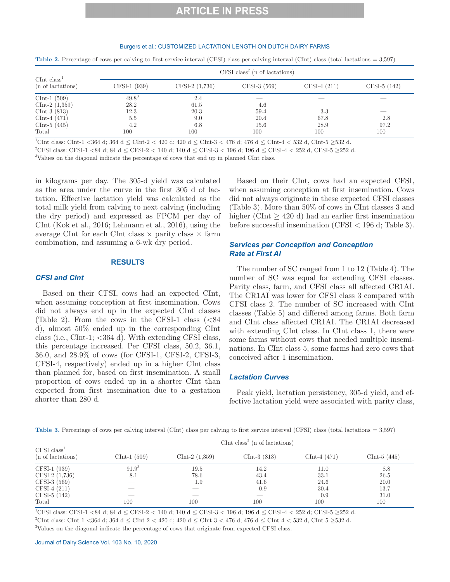#### Burgers et al.: CUSTOMIZED LACTATION LENGTH ON DUTCH DAIRY FARMS

Table 2. Percentage of cows per calving to first service interval (CFSI) class per calving interval (CInt) class (total lactations = 3,597)

|                                              | $CFSI class2$ (n of lactations) |                |              |               |                                                                                                                                                                                                                                                                                                                                                                                                                                                                            |  |  |  |  |  |
|----------------------------------------------|---------------------------------|----------------|--------------|---------------|----------------------------------------------------------------------------------------------------------------------------------------------------------------------------------------------------------------------------------------------------------------------------------------------------------------------------------------------------------------------------------------------------------------------------------------------------------------------------|--|--|--|--|--|
| CInt class <sup>1</sup><br>(n of lactations) | CFSI-1 (939)                    | CFSI-2 (1,736) | CFSI-3 (569) | $CFSI-4(211)$ | CFSI-5 (142)                                                                                                                                                                                                                                                                                                                                                                                                                                                               |  |  |  |  |  |
| $CInt-1(509)$                                | $49.8^3$                        | 2.4            |              |               |                                                                                                                                                                                                                                                                                                                                                                                                                                                                            |  |  |  |  |  |
| CInt-2 $(1,359)$                             | 28.2                            | 61.5           | 4.6          | __            |                                                                                                                                                                                                                                                                                                                                                                                                                                                                            |  |  |  |  |  |
| $CInt-3(813)$                                | 12.3                            | 20.3           | 59.4         | 3.3           | $\frac{1}{2} \left( \frac{1}{2} \right) \left( \frac{1}{2} \right) \left( \frac{1}{2} \right) \left( \frac{1}{2} \right) \left( \frac{1}{2} \right) \left( \frac{1}{2} \right) \left( \frac{1}{2} \right) \left( \frac{1}{2} \right) \left( \frac{1}{2} \right) \left( \frac{1}{2} \right) \left( \frac{1}{2} \right) \left( \frac{1}{2} \right) \left( \frac{1}{2} \right) \left( \frac{1}{2} \right) \left( \frac{1}{2} \right) \left( \frac{1}{2} \right) \left( \frac$ |  |  |  |  |  |
| $CInt-4(471)$                                | 5.5                             | 9.0            | 20.4         | 67.8          | 2.8                                                                                                                                                                                                                                                                                                                                                                                                                                                                        |  |  |  |  |  |
| $CInt-5(445)$                                | 4.2                             | 6.8            | 15.6         | 28.9          | 97.2                                                                                                                                                                                                                                                                                                                                                                                                                                                                       |  |  |  |  |  |
| Total                                        | 100                             | 100            | 100          | 100           | 100                                                                                                                                                                                                                                                                                                                                                                                                                                                                        |  |  |  |  |  |

<sup>1</sup>CInt class: CInt-1 <364 d; 364 d ≤ CInt-2 < 420 d; 420 d ≤ CInt-3 < 476 d; 476 d ≤ CInt-4 < 532 d, CInt-5 ≥532 d.

 $^2$ CFSI class: CFSI-1 <84 d; 84 d  $\leq$  CFSI-2 < 140 d; 140 d  $\leq$  CFSI-3 < 196 d; 196 d  $\leq$  CFSI-4 < 252 d, CFSI-5  $\geq$ 252 d.

<sup>3</sup>Values on the diagonal indicate the percentage of cows that end up in planned CInt class.

in kilograms per day. The 305-d yield was calculated as the area under the curve in the first 305 d of lactation. Effective lactation yield was calculated as the total milk yield from calving to next calving (including the dry period) and expressed as FPCM per day of CInt (Kok et al., 2016; Lehmann et al., 2016), using the average CInt for each CInt class  $\times$  parity class  $\times$  farm combination, and assuming a 6-wk dry period.

### **RESULTS**

### *CFSI and CInt*

Based on their CFSI, cows had an expected CInt, when assuming conception at first insemination. Cows did not always end up in the expected CInt classes (Table 2). From the cows in the CFSI-1 class  $\langle \langle 84 \rangle$ d), almost 50% ended up in the corresponding CInt class (i.e., CInt-1;  $<$ 364 d). With extending CFSI class, this percentage increased. Per CFSI class, 50.2, 36.1, 36.0, and 28.9% of cows (for CFSI-1, CFSI-2, CFSI-3, CFSI-4, respectively) ended up in a higher CInt class than planned for, based on first insemination. A small proportion of cows ended up in a shorter CInt than expected from first insemination due to a gestation shorter than 280 d.

Based on their CInt, cows had an expected CFSI, when assuming conception at first insemination. Cows did not always originate in these expected CFSI classes (Table 3). More than 50% of cows in CInt classes 3 and higher (CInt  $>$  420 d) had an earlier first insemination before successful insemination (CFSI < 196 d; Table 3).

### *Services per Conception and Conception Rate at First AI*

The number of SC ranged from 1 to 12 (Table 4). The number of SC was equal for extending CFSI classes. Parity class, farm, and CFSI class all affected CR1AI. The CR1AI was lower for CFSI class 3 compared with CFSI class 2. The number of SC increased with CInt classes (Table 5) and differed among farms. Both farm and CInt class affected CR1AI. The CR1AI decreased with extending CInt class. In CInt class 1, there were some farms without cows that needed multiple inseminations. In CInt class 5, some farms had zero cows that conceived after 1 insemination.

### *Lactation Curves*

Peak yield, lactation persistency, 305-d yield, and effective lactation yield were associated with parity class,

|                                              |                                                                                                                                                                                                                                                                                                                                                                                                                                                                            | CInt class <sup>2</sup> (n of lactations)                                                                                                                                                                                                                                                                                                                                                                                                                                  |               |               |               |  |  |  |  |  |  |
|----------------------------------------------|----------------------------------------------------------------------------------------------------------------------------------------------------------------------------------------------------------------------------------------------------------------------------------------------------------------------------------------------------------------------------------------------------------------------------------------------------------------------------|----------------------------------------------------------------------------------------------------------------------------------------------------------------------------------------------------------------------------------------------------------------------------------------------------------------------------------------------------------------------------------------------------------------------------------------------------------------------------|---------------|---------------|---------------|--|--|--|--|--|--|
| CFSI class <sup>1</sup><br>(n of lactations) | $CInt-1(509)$                                                                                                                                                                                                                                                                                                                                                                                                                                                              | $CInt-2(1,359)$                                                                                                                                                                                                                                                                                                                                                                                                                                                            | $CInt-3(813)$ | $CInt-4(471)$ | $CInt-5(445)$ |  |  |  |  |  |  |
| CFSI-1 (939)                                 | $91.9^{3}$                                                                                                                                                                                                                                                                                                                                                                                                                                                                 | 19.5                                                                                                                                                                                                                                                                                                                                                                                                                                                                       | 14.2          | 11.0          | 8.8           |  |  |  |  |  |  |
| $CFSI-2(1,736)$                              | 8.1                                                                                                                                                                                                                                                                                                                                                                                                                                                                        | 78.6                                                                                                                                                                                                                                                                                                                                                                                                                                                                       | 43.4          | 33.1          | 26.5          |  |  |  |  |  |  |
| CFSI-3 (569)                                 |                                                                                                                                                                                                                                                                                                                                                                                                                                                                            | 1.9                                                                                                                                                                                                                                                                                                                                                                                                                                                                        | 41.6          | 24.6          | 20.0          |  |  |  |  |  |  |
| $CFSI-4(211)$                                | $\frac{1}{2} \left( \frac{1}{2} \right) \left( \frac{1}{2} \right) \left( \frac{1}{2} \right) \left( \frac{1}{2} \right) \left( \frac{1}{2} \right) \left( \frac{1}{2} \right) \left( \frac{1}{2} \right) \left( \frac{1}{2} \right) \left( \frac{1}{2} \right) \left( \frac{1}{2} \right) \left( \frac{1}{2} \right) \left( \frac{1}{2} \right) \left( \frac{1}{2} \right) \left( \frac{1}{2} \right) \left( \frac{1}{2} \right) \left( \frac{1}{2} \right) \left( \frac$ | $\frac{1}{2} \left( \frac{1}{2} \right) \left( \frac{1}{2} \right) \left( \frac{1}{2} \right) \left( \frac{1}{2} \right) \left( \frac{1}{2} \right) \left( \frac{1}{2} \right) \left( \frac{1}{2} \right) \left( \frac{1}{2} \right) \left( \frac{1}{2} \right) \left( \frac{1}{2} \right) \left( \frac{1}{2} \right) \left( \frac{1}{2} \right) \left( \frac{1}{2} \right) \left( \frac{1}{2} \right) \left( \frac{1}{2} \right) \left( \frac{1}{2} \right) \left( \frac$ | 0.9           | 30.4          | 13.7          |  |  |  |  |  |  |
| $CFSI-5(142)$                                |                                                                                                                                                                                                                                                                                                                                                                                                                                                                            |                                                                                                                                                                                                                                                                                                                                                                                                                                                                            |               | 0.9           | 31.0          |  |  |  |  |  |  |
| Total                                        | 100                                                                                                                                                                                                                                                                                                                                                                                                                                                                        | 100                                                                                                                                                                                                                                                                                                                                                                                                                                                                        | 100           | 100           | 100           |  |  |  |  |  |  |

**Table 3.** Percentage of cows per calving interval (CInt) class per calving to first service interval (CFSI) class (total lactations = 3,597)

<sup>1</sup>CFSI class: CFSI-1 <84 d; 84 d ≤ CFSI-2 < 140 d; 140 d ≤ CFSI-3 < 196 d; 196 d ≤ CFSI-4 < 252 d; CFSI-5 ≥252 d.

 $^2$ CInt class: CInt-1 <364 d; 364 d  $\leq$  CInt-2 < 420 d; 420 d  $\leq$  CInt-3 < 476 d; 476 d  $\leq$  CInt-4 < 532 d, CInt-5  $\geq$ 532 d.

<sup>3</sup>Values on the diagonal indicate the percentage of cows that originate from expected CFSI class.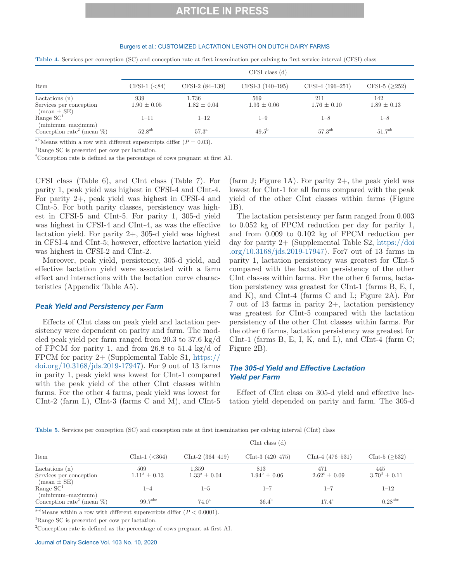#### Burgers et al.: CUSTOMIZED LACTATION LENGTH ON DUTCH DAIRY FARMS

|                                                                                 |                         |                            | CFSI class (d)         |                        |                        |
|---------------------------------------------------------------------------------|-------------------------|----------------------------|------------------------|------------------------|------------------------|
| Item                                                                            | CFSI-1 $(< 84)$         | $CFSI-2(84-139)$           | CFSI-3 $(140-195)$     | CFSI-4 $(196-251)$     | CFSI-5 $(>252)$        |
| Lactations $(n)$<br>Services per conception<br>$(mean \pm SE)$                  | 939<br>$1.90 \pm 0.05$  | 1.736<br>$1.82 \pm 0.04$   | 569<br>$1.93 \pm 0.06$ | 211<br>$1.76 \pm 0.10$ | 142<br>$1.89 \pm 0.13$ |
| Range $SC1$<br>$(minimum-maximum)$<br>Conception rate <sup>2</sup> (mean $\%$ ) | $1 - 11$<br>$52.8^{ab}$ | $1 - 12$<br>$57.3^{\rm a}$ | $1 - 9$<br>$49.5^{b}$  | $1 - 8$<br>$57.3^{ab}$ | $1 - 8$<br>$51.7^{ab}$ |

**Table 4.** Services per conception (SC) and conception rate at first insemination per calving to first service interval (CFSI) class

<sup>a,b</sup>Means within a row with different superscripts differ  $(P = 0.03)$ .

1 Range SC is presented per cow per lactation.

2 Conception rate is defined as the percentage of cows pregnant at first AI.

CFSI class (Table 6), and CInt class (Table 7). For parity 1, peak yield was highest in CFSI-4 and CInt-4. For parity 2+, peak yield was highest in CFSI-4 and CInt-5. For both parity classes, persistency was highest in CFSI-5 and CInt-5. For parity 1, 305-d yield was highest in CFSI-4 and CInt-4, as was the effective lactation yield. For parity 2+, 305-d yield was highest in CFSI-4 and CInt-5; however, effective lactation yield was highest in CFSI-2 and CInt-2.

Moreover, peak yield, persistency, 305-d yield, and effective lactation yield were associated with a farm effect and interactions with the lactation curve characteristics (Appendix Table A5).

### *Peak Yield and Persistency per Farm*

Effects of CInt class on peak yield and lactation persistency were dependent on parity and farm. The modeled peak yield per farm ranged from 20.3 to 37.6 kg/d of FPCM for parity 1, and from 26.8 to 51.4 kg/d of FPCM for parity 2+ (Supplemental Table S1, [https://](https://doi.org/10.3168/jds.2019-17947) [doi.org/10.3168/jds.2019-17947](https://doi.org/10.3168/jds.2019-17947)). For 9 out of 13 farms in parity 1, peak yield was lowest for CInt-1 compared with the peak yield of the other CInt classes within farms. For the other 4 farms, peak yield was lowest for CInt-2 (farm L), CInt-3 (farms C and M), and CInt-5 (farm J; Figure 1A). For parity 2+, the peak yield was lowest for CInt-1 for all farms compared with the peak yield of the other CInt classes within farms (Figure 1B).

The lactation persistency per farm ranged from 0.003 to 0.052 kg of FPCM reduction per day for parity 1, and from 0.009 to 0.102 kg of FPCM reduction per day for parity  $2+$  (Supplemental Table S2, [https://doi](https://doi.org/10.3168/jds.2019-17947) [.org/10.3168/jds.2019-17947](https://doi.org/10.3168/jds.2019-17947)). For7 out of 13 farms in parity 1, lactation persistency was greatest for CInt-5 compared with the lactation persistency of the other CInt classes within farms. For the other 6 farms, lactation persistency was greatest for CInt-1 (farms B, E, I, and K), and CInt-4 (farms C and L; Figure 2A). For 7 out of 13 farms in parity 2+, lactation persistency was greatest for CInt-5 compared with the lactation persistency of the other CInt classes within farms. For the other 6 farms, lactation persistency was greatest for CInt-1 (farms B, E, I, K, and L), and CInt-4 (farm C; Figure 2B).

### *The 305-d Yield and Effective Lactation Yield per Farm*

Effect of CInt class on 305-d yield and effective lactation yield depended on parity and farm. The 305-d

**Table 5.** Services per conception (SC) and conception rate at first insemination per calving interval (CInt) class

|                                                                |                                |                                  | $CInt class$ (d)               |                                |                                |
|----------------------------------------------------------------|--------------------------------|----------------------------------|--------------------------------|--------------------------------|--------------------------------|
| Item                                                           | $CInt-1$ $(<364)$              | $CInt-2(364-419)$                | CInt-3 $(420-475)$             | $CInt-4(476-531)$              | $CInt-5 (>532)$                |
| Lactations $(n)$<br>Services per conception<br>$(mean \pm SE)$ | 509<br>$1.11^{\circ} \pm 0.13$ | 1.359<br>$1.33^{\rm a} \pm 0.04$ | 813<br>$1.94^{\rm b} \pm 0.06$ | 471<br>$2.62^{\circ} \pm 0.09$ | 445<br>$3.70^{\rm d} \pm 0.11$ |
| Range $SC1$<br>$(minimum-maximum)$                             | $1 - 4$                        | $1 - 5$                          | $1 - 7$                        | $1 - 7$                        | $1 - 12$                       |
| Conception rate <sup>2</sup> (mean $\%$ )                      | 99.7 <sup>abc</sup>            | $74.0^{\rm a}$                   | $36.4^{\rm b}$                 | $17.4^\circ$                   | $0.28^{\rm abc}$               |

<sup>a-d</sup>Means within a row with different superscripts differ  $(P < 0.0001)$ .

1 Range SC is presented per cow per lactation.

<sup>2</sup>Conception rate is defined as the percentage of cows pregnant at first AI.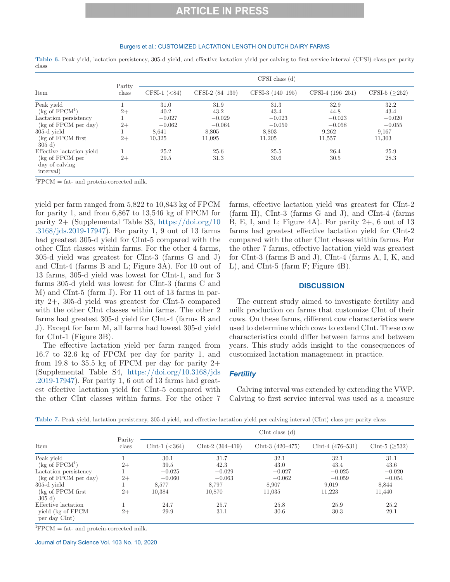#### Burgers et al.: CUSTOMIZED LACTATION LENGTH ON DUTCH DAIRY FARMS

|                                                                             |                 |                      |                      | $CFSI class$ (d)     |                      |                      |
|-----------------------------------------------------------------------------|-----------------|----------------------|----------------------|----------------------|----------------------|----------------------|
| Item                                                                        | Parity<br>class | CFSI-1 $(< 84)$      | $CFSI-2(84-139)$     | CFSI-3 $(140-195)$   | CFSI-4 (196-251)     | CFSI-5 $(\geq 252)$  |
| Peak yield<br>$(\text{kg of FPCM}^1)$                                       | $2+$            | 31.0<br>40.2         | 31.9<br>43.2         | 31.3<br>43.4         | 32.9<br>44.8         | 32.2<br>43.4         |
| Lactation persistency<br>(kg of FPCM per day)                               | $2+$            | $-0.027$<br>$-0.062$ | $-0.029$<br>$-0.064$ | $-0.023$<br>$-0.059$ | $-0.023$<br>$-0.058$ | $-0.020$<br>$-0.055$ |
| $305-d$ yield<br>(kg of FPCM first)<br>305 d                                | $2+$            | 8,641<br>10,325      | 8,805<br>11.095      | 8,803<br>11,205      | 9,262<br>11,557      | 9.167<br>11,303      |
| Effective lactation yield<br>(kg of FPCM per<br>day of calving<br>interval) | $2+$            | 25.2<br>29.5         | 25.6<br>31.3         | 25.5<br>30.6         | 26.4<br>30.5         | 25.9<br>28.3         |

**Table 6.** Peak yield, lactation persistency, 305-d yield, and effective lactation yield per calving to first service interval (CFSI) class per parity class

 ${}^{1}\text{FPCM} = \text{fat}$ - and protein-corrected milk.

yield per farm ranged from 5,822 to 10,843 kg of FPCM for parity 1, and from 6,867 to 13,546 kg of FPCM for parity 2+ (Supplemental Table S3, [https://doi.org/10](https://doi.org/10.3168/jds.2019-17947) [.3168/jds.2019-17947](https://doi.org/10.3168/jds.2019-17947)). For parity 1, 9 out of 13 farms had greatest 305-d yield for CInt-5 compared with the other CInt classes within farms. For the other 4 farms, 305-d yield was greatest for CInt-3 (farms G and J) and CInt-4 (farms B and L; Figure 3A). For 10 out of 13 farms, 305-d yield was lowest for CInt-1, and for 3 farms 305-d yield was lowest for CInt-3 (farms C and M) and CInt-5 (farm J). For 11 out of 13 farms in parity 2+, 305-d yield was greatest for CInt-5 compared with the other CInt classes within farms. The other 2 farms had greatest 305-d yield for CInt-4 (farms B and J). Except for farm M, all farms had lowest 305-d yield for CInt-1 (Figure 3B).

The effective lactation yield per farm ranged from 16.7 to 32.6 kg of FPCM per day for parity 1, and from 19.8 to 35.5 kg of FPCM per day for parity  $2+$ (Supplemental Table S4, [https://doi.org/10.3168/jds](https://doi.org/10.3168/jds.2019-17947) [.2019-17947\)](https://doi.org/10.3168/jds.2019-17947). For parity 1, 6 out of 13 farms had greatest effective lactation yield for CInt-5 compared with the other CInt classes within farms. For the other 7 farms, effective lactation yield was greatest for CInt-2 (farm H), CInt-3 (farms G and J), and CInt-4 (farms B, E, I, and L; Figure  $4A$ ). For parity  $2+$ , 6 out of 13 farms had greatest effective lactation yield for CInt-2 compared with the other CInt classes within farms. For the other 7 farms, effective lactation yield was greatest for CInt-3 (farms B and J), CInt-4 (farms A, I, K, and L), and CInt-5 (farm F; Figure 4B).

#### **DISCUSSION**

The current study aimed to investigate fertility and milk production on farms that customize CInt of their cows. On these farms, different cow characteristics were used to determine which cows to extend CInt. These cow characteristics could differ between farms and between years. This study adds insight to the consequences of customized lactation management in practice.

### *Fertility*

Calving interval was extended by extending the VWP. Calving to first service interval was used as a measure

**Table 7.** Peak yield, lactation persistency, 305-d yield, and effective lactation yield per calving interval (CInt) class per parity class

|                                             |                 |                   |                   | $CInt class$ (d)  |                   |                 |
|---------------------------------------------|-----------------|-------------------|-------------------|-------------------|-------------------|-----------------|
| Item                                        | Parity<br>class | $CInt-1$ $(<364)$ | $CInt-2(364-419)$ | $CInt-3(420-475)$ | $CInt-4(476-531)$ | $CInt-5 (>532)$ |
| Peak yield                                  |                 | 30.1              | 31.7              | 32.1              | 32.1              | 31.1            |
| $\left(\text{kg of FPCM}^{\text{1}}\right)$ | $2+$            | 39.5              | 42.3              | 43.0              | 43.4              | 43.6            |
| Lactation persistency                       |                 | $-0.025$          | $-0.029$          | $-0.027$          | $-0.025$          | $-0.020$        |
| $\langle$ kg of FPCM per day)               | $2+$            | $-0.060$          | $-0.063$          | $-0.062$          | $-0.059$          | $-0.054$        |
| $305-d$ yield                               |                 | 8.577             | 8.797             | 8.907             | 9.019             | 8,844           |
| (kg of FPCM first)<br>305 d                 | $2+$            | 10,384            | 10,870            | 11,035            | 11,223            | 11,440          |
| Effective lactation                         |                 | 24.7              | 25.7              | 25.8              | 25.9              | 25.2            |
| yield (kg of FPCM<br>per day CInt.          | $2+$            | 29.9              | 31.1              | 30.6              | 30.3              | 29.1            |

 ${}^{1}$ FPCM = fat- and protein-corrected milk.

Journal of Dairy Science Vol. 103 No. 10, 2020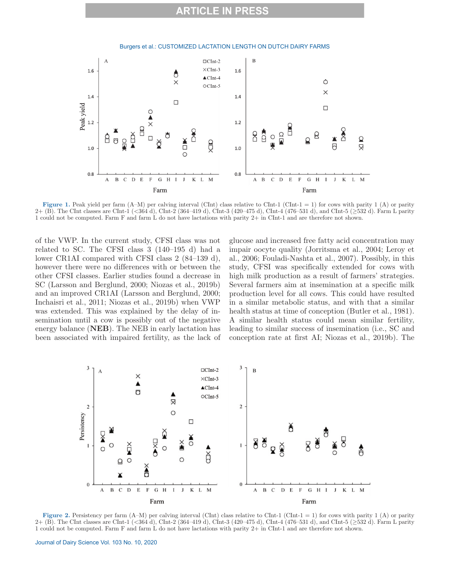#### Burgers et al.: CUSTOMIZED LACTATION LENGTH ON DUTCH DAIRY FARMS



Figure 1. Peak yield per farm  $(A-M)$  per calving interval (CInt) class relative to CInt-1 (CInt-1 = 1) for cows with parity 1 (A) or parity 2+ (B). The CInt classes are CInt-1 (<364 d), CInt-2 (364–419 d), CInt-3 (420–475 d), CInt-4 (476–531 d), and CInt-5 (≥532 d). Farm L parity 1 could not be computed. Farm F and farm L do not have lactations with parity 2+ in CInt-1 and are therefore not shown.

of the VWP. In the current study, CFSI class was not related to SC. The CFSI class 3 (140–195 d) had a lower CR1AI compared with CFSI class 2 (84–139 d), however there were no differences with or between the other CFSI classes. Earlier studies found a decrease in SC (Larsson and Berglund, 2000; Niozas et al., 2019b) and an improved CR1AI (Larsson and Berglund, 2000; Inchaisri et al., 2011; Niozas et al., 2019b) when VWP was extended. This was explained by the delay of insemination until a cow is possibly out of the negative energy balance (**NEB**). The NEB in early lactation has been associated with impaired fertility, as the lack of glucose and increased free fatty acid concentration may impair oocyte quality (Jorritsma et al., 2004; Leroy et al., 2006; Fouladi-Nashta et al., 2007). Possibly, in this study, CFSI was specifically extended for cows with high milk production as a result of farmers' strategies. Several farmers aim at insemination at a specific milk production level for all cows. This could have resulted in a similar metabolic status, and with that a similar health status at time of conception (Butler et al., 1981). A similar health status could mean similar fertility, leading to similar success of insemination (i.e., SC and conception rate at first AI; Niozas et al., 2019b). The



**Figure 2.** Persistency per farm  $(A-M)$  per calving interval (CInt) class relative to CInt-1 (CInt-1 = 1) for cows with parity 1  $(A)$  or parity 2+ (B). The CInt classes are CInt-1 (<364 d), CInt-2 (364–419 d), CInt-3 (420–475 d), CInt-4 (476–531 d), and CInt-5 (≥532 d). Farm L parity 1 could not be computed. Farm F and farm L do not have lactations with parity 2+ in CInt-1 and are therefore not shown.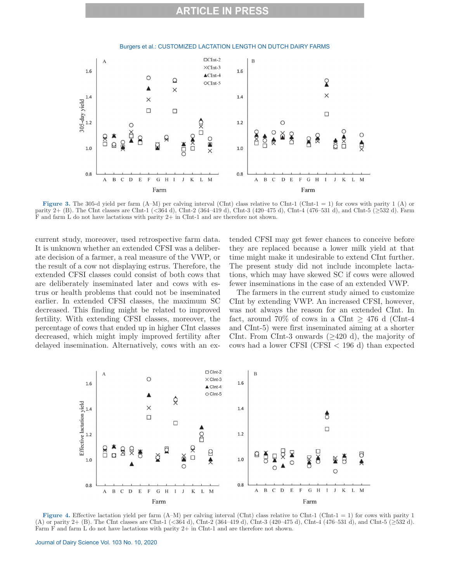#### Burgers et al.: CUSTOMIZED LACTATION LENGTH ON DUTCH DAIRY FARMS



**Figure 3.** The 305-d yield per farm  $(A-M)$  per calving interval (CInt) class relative to CInt-1 (CInt-1 = 1) for cows with parity 1 (A) or parity 2+ (B). The CInt classes are CInt-1 (<364 d), CInt-2 (364–419 d), CInt-3 (420–475 d), CInt-4 (476–531 d), and CInt-5 (≥532 d). Farm F and farm L do not have lactations with parity 2+ in CInt-1 and are therefore not shown.

current study, moreover, used retrospective farm data. It is unknown whether an extended CFSI was a deliberate decision of a farmer, a real measure of the VWP, or the result of a cow not displaying estrus. Therefore, the extended CFSI classes could consist of both cows that are deliberately inseminated later and cows with estrus or health problems that could not be inseminated earlier. In extended CFSI classes, the maximum SC decreased. This finding might be related to improved fertility. With extending CFSI classes, moreover, the percentage of cows that ended up in higher CInt classes decreased, which might imply improved fertility after delayed insemination. Alternatively, cows with an extended CFSI may get fewer chances to conceive before they are replaced because a lower milk yield at that time might make it undesirable to extend CInt further. The present study did not include incomplete lactations, which may have skewed SC if cows were allowed fewer inseminations in the case of an extended VWP.

The farmers in the current study aimed to customize CInt by extending VWP. An increased CFSI, however, was not always the reason for an extended CInt. In fact, around 70% of cows in a CInt  $\geq$  476 d (CInt-4 and CInt-5) were first inseminated aiming at a shorter CInt. From CInt-3 onwards  $(\geq 420 \text{ d})$ , the majority of cows had a lower CFSI (CFSI < 196 d) than expected



**Figure 4.** Effective lactation yield per farm (A–M) per calving interval (CInt) class relative to CInt-1 (CInt-1 = 1) for cows with parity 1 (A) or parity 2+ (B). The CInt classes are CInt-1 (<364 d), CInt-2 (364–419 d), CInt-3 (420–475 d), CInt-4 (476–531 d), and CInt-5 ( $\geq 532$  d). Farm F and farm L do not have lactations with parity  $2+$  in CInt-1 and are therefore not shown.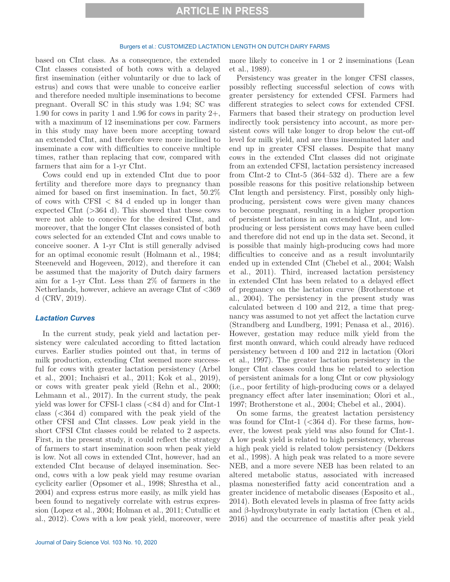#### Burgers et al.: CUSTOMIZED LACTATION LENGTH ON DUTCH DAIRY FARMS

based on CInt class. As a consequence, the extended CInt classes consisted of both cows with a delayed first insemination (either voluntarily or due to lack of estrus) and cows that were unable to conceive earlier and therefore needed multiple inseminations to become pregnant. Overall SC in this study was 1.94; SC was 1.90 for cows in parity 1 and 1.96 for cows in parity  $2+$ , with a maximum of 12 inseminations per cow. Farmers in this study may have been more accepting toward an extended CInt, and therefore were more inclined to inseminate a cow with difficulties to conceive multiple times, rather than replacing that cow, compared with farmers that aim for a 1-yr CInt.

Cows could end up in extended CInt due to poor fertility and therefore more days to pregnancy than aimed for based on first insemination. In fact, 50.2% of cows with  $CFSI < 84$  d ended up in longer than expected CInt  $($ >364 d $)$ . This showed that these cows were not able to conceive for the desired CInt, and moreover, that the longer CInt classes consisted of both cows selected for an extended CInt and cows unable to conceive sooner. A 1-yr CInt is still generally advised for an optimal economic result (Holmann et al., 1984; Steeneveld and Hogeveen, 2012), and therefore it can be assumed that the majority of Dutch dairy farmers aim for a 1-yr CInt. Less than 2% of farmers in the Netherlands, however, achieve an average CInt of <369 d (CRV, 2019).

#### *Lactation Curves*

In the current study, peak yield and lactation persistency were calculated according to fitted lactation curves. Earlier studies pointed out that, in terms of milk production, extending CInt seemed more successful for cows with greater lactation persistency (Arbel et al., 2001; Inchaisri et al., 2011; Kok et al., 2019), or cows with greater peak yield (Rehn et al., 2000; Lehmann et al., 2017). In the current study, the peak yield was lower for CFSI-1 class (<84 d) and for CInt-1 class  $\left( < 364 \right)$  compared with the peak yield of the other CFSI and CInt classes. Low peak yield in the short CFSI CInt classes could be related to 2 aspects. First, in the present study, it could reflect the strategy of farmers to start insemination soon when peak yield is low. Not all cows in extended CInt, however, had an extended CInt because of delayed insemination. Second, cows with a low peak yield may resume ovarian cyclicity earlier (Opsomer et al., 1998; Shrestha et al., 2004) and express estrus more easily, as milk yield has been found to negatively correlate with estrus expression (Lopez et al., 2004; Holman et al., 2011; Cutullic et al., 2012). Cows with a low peak yield, moreover, were

Journal of Dairy Science Vol. 103 No. 10, 2020

more likely to conceive in 1 or 2 inseminations (Lean et al., 1989).

Persistency was greater in the longer CFSI classes, possibly reflecting successful selection of cows with greater persistency for extended CFSI. Farmers had different strategies to select cows for extended CFSI. Farmers that based their strategy on production level indirectly took persistency into account, as more persistent cows will take longer to drop below the cut-off level for milk yield, and are thus inseminated later and end up in greater CFSI classes. Despite that many cows in the extended CInt classes did not originate from an extended CFSI, lactation persistency increased from CInt-2 to CInt-5 (364–532 d). There are a few possible reasons for this positive relationship between CInt length and persistency. First, possibly only highproducing, persistent cows were given many chances to become pregnant, resulting in a higher proportion of persistent lactations in an extended CInt, and lowproducing or less persistent cows may have been culled and therefore did not end up in the data set. Second, it is possible that mainly high-producing cows had more difficulties to conceive and as a result involuntarily ended up in extended CInt (Chebel et al., 2004; Walsh et al., 2011). Third, increased lactation persistency in extended CInt has been related to a delayed effect of pregnancy on the lactation curve (Brotherstone et al., 2004). The persistency in the present study was calculated between d 100 and 212, a time that pregnancy was assumed to not yet affect the lactation curve (Strandberg and Lundberg, 1991; Penasa et al., 2016). However, gestation may reduce milk yield from the first month onward, which could already have reduced persistency between d 100 and 212 in lactation (Olori et al., 1997). The greater lactation persistency in the longer CInt classes could thus be related to selection of persistent animals for a long CInt or cow physiology (i.e., poor fertility of high-producing cows or a delayed pregnancy effect after later insemination; Olori et al., 1997; Brotherstone et al., 2004; Chebel et al., 2004).

On some farms, the greatest lactation persistency was found for CInt-1  $(< 364$  d). For these farms, however, the lowest peak yield was also found for CInt-1. A low peak yield is related to high persistency, whereas a high peak yield is related tolow persistency (Dekkers et al., 1998). A high peak was related to a more severe NEB, and a more severe NEB has been related to an altered metabolic status, associated with increased plasma nonesterified fatty acid concentration and a greater incidence of metabolic diseases (Esposito et al., 2014). Both elevated levels in plasma of free fatty acids and β-hydroxybutyrate in early lactation (Chen et al., 2016) and the occurrence of mastitis after peak yield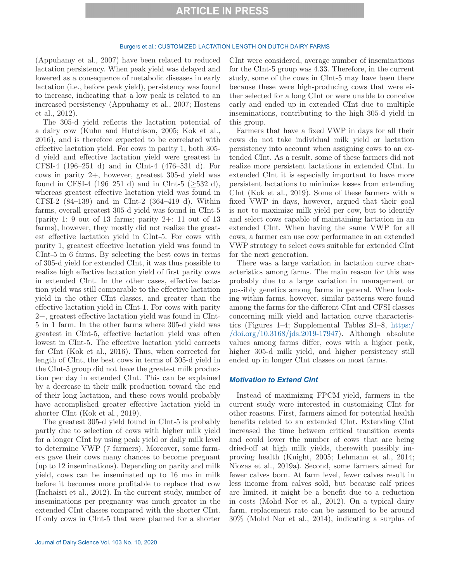#### Burgers et al.: CUSTOMIZED LACTATION LENGTH ON DUTCH DAIRY FARMS

(Appuhamy et al., 2007) have been related to reduced lactation persistency. When peak yield was delayed and lowered as a consequence of metabolic diseases in early lactation (i.e., before peak yield), persistency was found to increase, indicating that a low peak is related to an increased persistency (Appuhamy et al., 2007; Hostens et al., 2012).

The 305-d yield reflects the lactation potential of a dairy cow (Kuhn and Hutchison, 2005; Kok et al., 2016), and is therefore expected to be correlated with effective lactation yield. For cows in parity 1, both 305 d yield and effective lactation yield were greatest in CFSI-4 (196–251 d) and in CInt-4 (476–531 d). For cows in parity 2+, however, greatest 305-d yield was found in CFSI-4 (196–251 d) and in CInt-5 ( $>532$  d), whereas greatest effective lactation yield was found in CFSI-2 (84–139) and in CInt-2 (364–419 d). Within farms, overall greatest 305-d yield was found in CInt-5 (parity 1: 9 out of 13 farms; parity  $2+$ : 11 out of 13 farms), however, they mostly did not realize the greatest effective lactation yield in CInt-5. For cows with parity 1, greatest effective lactation yield was found in CInt-5 in 6 farms. By selecting the best cows in terms of 305-d yield for extended CInt, it was thus possible to realize high effective lactation yield of first parity cows in extended CInt. In the other cases, effective lactation yield was still comparable to the effective lactation yield in the other CInt classes, and greater than the effective lactation yield in CInt-1. For cows with parity 2+, greatest effective lactation yield was found in CInt-5 in 1 farm. In the other farms where 305-d yield was greatest in CInt-5, effective lactation yield was often lowest in CInt-5. The effective lactation yield corrects for CInt (Kok et al., 2016). Thus, when corrected for length of CInt, the best cows in terms of 305-d yield in the CInt-5 group did not have the greatest milk production per day in extended CInt. This can be explained by a decrease in their milk production toward the end of their long lactation, and these cows would probably have accomplished greater effective lactation yield in shorter CInt (Kok et al., 2019).

The greatest 305-d yield found in CInt-5 is probably partly due to selection of cows with higher milk yield for a longer CInt by using peak yield or daily milk level to determine VWP (7 farmers). Moreover, some farmers gave their cows many chances to become pregnant (up to 12 inseminations). Depending on parity and milk yield, cows can be inseminated up to 16 mo in milk before it becomes more profitable to replace that cow (Inchaisri et al., 2012). In the current study, number of inseminations per pregnancy was much greater in the extended CInt classes compared with the shorter CInt. If only cows in CInt-5 that were planned for a shorter

CInt were considered, average number of inseminations for the CInt-5 group was 4.33. Therefore, in the current study, some of the cows in CInt-5 may have been there because these were high-producing cows that were either selected for a long CInt or were unable to conceive early and ended up in extended CInt due to multiple inseminations, contributing to the high 305-d yield in this group.

Farmers that have a fixed VWP in days for all their cows do not take individual milk yield or lactation persistency into account when assigning cows to an extended CInt. As a result, some of these farmers did not realize more persistent lactations in extended CInt. In extended CInt it is especially important to have more persistent lactations to minimize losses from extending CInt (Kok et al., 2019). Some of these farmers with a fixed VWP in days, however, argued that their goal is not to maximize milk yield per cow, but to identify and select cows capable of maintaining lactation in an extended CInt. When having the same VWP for all cows, a farmer can use cow performance in an extended VWP strategy to select cows suitable for extended CInt for the next generation.

There was a large variation in lactation curve characteristics among farms. The main reason for this was probably due to a large variation in management or possibly genetics among farms in general. When looking within farms, however, similar patterns were found among the farms for the different CInt and CFSI classes concerning milk yield and lactation curve characteristics (Figures 1–4; Supplemental Tables S1–8, [https:/](https://doi.org/10.3168/jds.2019-17947) [/doi.org/10.3168/jds.2019-17947\)](https://doi.org/10.3168/jds.2019-17947). Although absolute values among farms differ, cows with a higher peak, higher 305-d milk yield, and higher persistency still ended up in longer CInt classes on most farms.

### *Motivation to Extend CInt*

Instead of maximizing FPCM yield, farmers in the current study were interested in customizing CInt for other reasons. First, farmers aimed for potential health benefits related to an extended CInt. Extending CInt increased the time between critical transition events and could lower the number of cows that are being dried-off at high milk yields, therewith possibly improving health (Knight, 2005; Lehmann et al., 2014; Niozas et al., 2019a). Second, some farmers aimed for fewer calves born. At farm level, fewer calves result in less income from calves sold, but because calf prices are limited, it might be a benefit due to a reduction in costs (Mohd Nor et al., 2012). On a typical dairy farm, replacement rate can be assumed to be around 30% (Mohd Nor et al., 2014), indicating a surplus of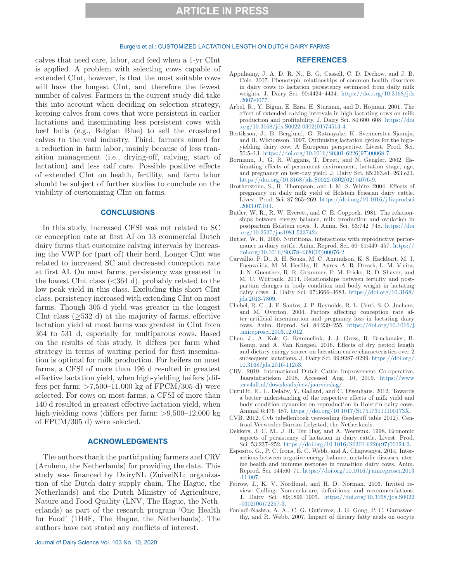#### Burgers et al.: CUSTOMIZED LACTATION LENGTH ON DUTCH DAIRY FARMS

calves that need care, labor, and feed when a 1-yr CInt is applied. A problem with selecting cows capable of extended CInt, however, is that the most suitable cows will have the longest CInt, and therefore the fewest number of calves. Farmers in the current study did take this into account when deciding on selection strategy, keeping calves from cows that were persistent in earlier lactations and inseminating less persistent cows with beef bulls (e.g., Belgian Blue) to sell the crossbred calves to the veal industry. Third, farmers aimed for a reduction in farm labor, mainly because of less transition management (i.e., drying-off, calving, start of lactation) and less calf care. Possible positive effects of extended CInt on health, fertility, and farm labor should be subject of further studies to conclude on the viability of customizing CInt on farms.

### **CONCLUSIONS**

In this study, increased CFSI was not related to SC or conception rate at first AI on 13 commercial Dutch dairy farms that customize calving intervals by increasing the VWP for (part of) their herd. Longer CInt was related to increased SC and decreased conception rate at first AI. On most farms, persistency was greatest in the lowest CInt class  $(<364 \text{ d})$ , probably related to the low peak yield in this class. Excluding this short CInt class, persistency increased with extending CInt on most farms. Though 305-d yield was greater in the longest CInt class  $($ >532 d) at the majority of farms, effective lactation yield at most farms was greatest in CInt from 364 to 531 d, especially for multiparous cows. Based on the results of this study, it differs per farm what strategy in terms of waiting period for first insemination is optimal for milk production. For heifers on most farms, a CFSI of more than 196 d resulted in greatest effective lactation yield, when high-yielding heifers (differs per farm;  $>7,500-11,000$  kg of FPCM/305 d) were selected. For cows on most farms, a CFSI of more than 140 d resulted in greatest effective lactation yield, when high-yielding cows (differs per farm;  $> 9,500-12,000$  kg of FPCM/305 d) were selected.

#### **ACKNOWLEDGMENTS**

The authors thank the participating farmers and CRV (Arnhem, the Netherlands) for providing the data. This study was financed by DairyNL (ZuivelNL; organization of the Dutch dairy supply chain, The Hague, the Netherlands) and the Dutch Ministry of Agriculture, Nature and Food Quality (LNV, The Hague, the Netherlands) as part of the research program 'One Health for Food' (1H4F, The Hague, the Netherlands). The authors have not stated any conflicts of interest.

#### **REFERENCES**

- Appuhamy, J. A. D. R. N., B. G. Cassell, C. D. Dechow, and J. B. Cole. 2007. Phenotypic relationships of common health disorders in dairy cows to lactation persistency estimated from daily milk weights. J. Dairy Sci. 90:4424–4434. [https://doi.org/10.3168/jds](https://doi.org/10.3168/jds.2007-0077) [.2007-0077](https://doi.org/10.3168/jds.2007-0077).
- Arbel, R., Y. Bigun, E. Ezra, H. Sturman, and D. Hojman. 2001. The effect of extended calving intervals in high lactating cows on milk production and profitability. J. Dairy Sci. 84:600–608. [https://doi](https://doi.org/10.3168/jds.S0022-0302(01)74513-4) [.org/10.3168/jds.S0022-0302\(01\)74513-4](https://doi.org/10.3168/jds.S0022-0302(01)74513-4).
- Bertilsson, J., B. Berglund, G. Ratnayake, K. Svennersten-Sjaunja, and H. Wiktorsson. 1997. Optimising lactation cycles for the highyielding dairy cow. A European perspective. Livest. Prod. Sci. 50:5–13. [https://doi.org/10.1016/S0301-6226\(97\)00068-7.](https://doi.org/10.1016/S0301-6226(97)00068-7)
- Bormann, J., G. R. Wiggans, T. Druet, and N. Gengler. 2002. Estimating effects of permanent environment, lactation stage, age, and pregnancy on test-day yield. J. Dairy Sci. 85:263.e1–263.e21. [https://doi.org/10.3168/jds.S0022-0302\(02\)74076-9](https://doi.org/10.3168/jds.S0022-0302(02)74076-9).
- Brotherstone, S., R. Thompson, and I. M. S. White. 2004. Effects of pregnancy on daily milk yield of Holstein–Friesian dairy cattle. Livest. Prod. Sci. 87:265–269. [https://doi.org/10.1016/j.livprodsci](https://doi.org/10.1016/j.livprodsci.2003.07.014) [.2003.07.014](https://doi.org/10.1016/j.livprodsci.2003.07.014).
- Butler, W. R., R. W. Everett, and C. E. Coppock. 1981. The relationships between energy balance, milk production and ovulation in postpartum Holstein cows. J. Anim. Sci. 53:742–748. [https://doi](https://doi.org/10.2527/jas1981.533742x) [.org/10.2527/jas1981.533742x.](https://doi.org/10.2527/jas1981.533742x)
- Butler, W. R. 2000. Nutritional interactions with reproductive performance in dairy cattle. Anim. Reprod. Sci. 60–61:449–457. [https://](https://doi.org/10.1016/S0378-4320(00)00076-2) [doi.org/10.1016/S0378-4320\(00\)00076-2.](https://doi.org/10.1016/S0378-4320(00)00076-2)
- Carvalho, P. D., A. H. Souza, M. C. Amundson, K. S. Hackbart, M. J. Fuenzalida, M. M. Herlihy, H. Ayres, A. R. Dresch, L. M. Vieira, J. N. Guenther, R. R. Grummer, P. M. Fricke, R. D. Shaver, and M. C. Wiltbank. 2014. Relationships between fertility and postpartum changes in body condition and body weight in lactating dairy cows. J. Dairy Sci. 97:3666–3683. [https://doi.org/10.3168/](https://doi.org/10.3168/jds.2013-7809) [jds.2013-7809](https://doi.org/10.3168/jds.2013-7809).
- Chebel, R. C., J. E. Santos, J. P. Reynolds, R. L. Cerri, S. O. Juchem, and M. Overton. 2004. Factors affecting conception rate after artificial insemination and pregnancy loss in lactating dairy cows. Anim. Reprod. Sci. 84:239–255. [https://doi.org/10.1016/j](https://doi.org/10.1016/j.anireprosci.2003.12.012) [.anireprosci.2003.12.012](https://doi.org/10.1016/j.anireprosci.2003.12.012).
- Chen, J., A. Kok, G. Remmelink, J. J. Gross, R. Bruckmaier, B. Kemp, and A. Van Knegsel. 2016. Effects of dry period length and dietary energy source on lactation curve characteristics over 2 subsequent lactations. J. Dairy Sci. 99:9287–9299. [https://doi.org/](https://doi.org/10.3168/jds.2016-11253) [10.3168/jds.2016-11253.](https://doi.org/10.3168/jds.2016-11253)
- CRV. 2019. International Dutch Cattle Improvement Co-operative. Jaarstatistieken 2018. Accessed Aug. 10, 2019. [https://www](https://www.crv4all.nl/downloads/crv/jaarverslag/) [.crv4all.nl/downloads/crv/jaarverslag/](https://www.crv4all.nl/downloads/crv/jaarverslag/).
- Cutullic, E., L. Delaby, Y. Gallard, and C. Disenhaus. 2012. Towards a better understanding of the respective effects of milk yield and body condition dynamics on reproduction in Holstein dairy cows. Animal 6:476–487.<https://doi.org/10.1017/S175173111100173X>.
- CVB. 2012. Cvb tabellenboek veevoeding (feedstuff table 2012), Centraal Veevoeder Bureau Lelystad, the Netherlands.
- Dekkers, J. C. M., J. H. Ten Hag, and A. Weersink. 1998. Economic aspects of persistency of lactation in dairy cattle. Livest. Prod. Sci. 53:237–252. [https://doi.org/10.1016/S0301-6226\(97\)00124-3.](https://doi.org/10.1016/S0301-6226(97)00124-3)
- Esposito, G., P. C. Irons, E. C. Webb, and A. Chapwanya. 2014. Interactions between negative energy balance, metabolic diseases, uterine health and immune response in transition dairy cows. Anim. Reprod. Sci. 144:60–71. [https://doi.org/10.1016/j.anireprosci.2013](https://doi.org/10.1016/j.anireprosci.2013.11.007) [.11.007](https://doi.org/10.1016/j.anireprosci.2013.11.007).
- Fetrow, J., K. V. Nordlund, and H. D. Norman. 2006. Invited review: Culling: Nomenclature, definitions, and recommendations. J. Dairy Sci. 89:1896–1905. [https://doi.org/10.3168/jds.S0022](https://doi.org/10.3168/jds.S0022-0302(06)72257-3)  $-0302(06)72257-3.$  $-0302(06)72257-3.$
- Fouladi-Nashta, A. A., C. G. Gutierrez, J. G. Gong, P. C. Garnsworthy, and R. Webb. 2007. Impact of dietary fatty acids on oocyte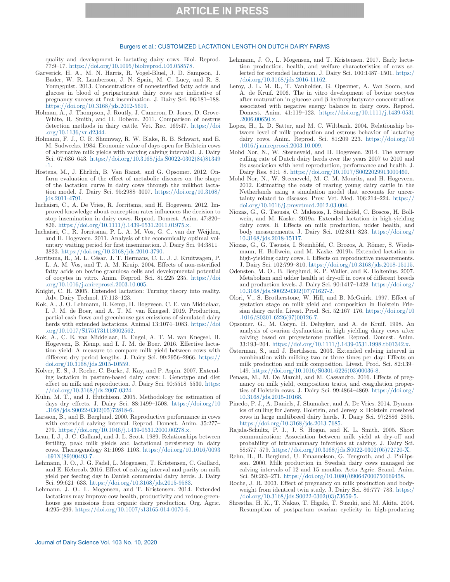#### Burgers et al.: CUSTOMIZED LACTATION LENGTH ON DUTCH DAIRY FARMS

quality and development in lactating dairy cows. Biol. Reprod. 77:9–17. [https://doi.org/10.1095/biolreprod.106.058578.](https://doi.org/10.1095/biolreprod.106.058578)

- Garverick, H. A., M. N. Harris, R. Vogel-Bluel, J. D. Sampson, J. Bader, W. R. Lamberson, J. N. Spain, M. C. Lucy, and R. S. Youngquist. 2013. Concentrations of nonesterified fatty acids and glucose in blood of periparturient dairy cows are indicative of pregnancy success at first insemination. J. Dairy Sci. 96:181–188. [https://doi.org/10.3168/jds.2012-5619.](https://doi.org/10.3168/jds.2012-5619)
- Holman, A., J. Thompson, J. Routly, J. Cameron, D. Jones, D. Grove-White, R. Smith, and H. Dobson. 2011. Comparison of oestrus detection methods in dairy cattle. Vet. Rec. 169:47. [https://doi](https://doi.org/10.1136/vr.d2344) [.org/10.1136/vr.d2344](https://doi.org/10.1136/vr.d2344).
- Holmann, F. J., C. R. Shumway, R. W. Blake, R. B. Schwart, and E. M. Sudweeks. 1984. Economic value of days open for Holstein cows of alternative milk yields with varying calving intervals1. J. Dairy Sci. 67:636–643. [https://doi.org/10.3168/jds.S0022-0302\(84\)81349](https://doi.org/10.3168/jds.S0022-0302(84)81349-1) [-1.](https://doi.org/10.3168/jds.S0022-0302(84)81349-1)
- Hostens, M., J. Ehrlich, B. Van Ranst, and G. Opsomer. 2012. Onfarm evaluation of the effect of metabolic diseases on the shape of the lactation curve in dairy cows through the milkbot lactation model. J. Dairy Sci. 95:2988–3007. [https://doi.org/10.3168/](https://doi.org/10.3168/jds.2011-4791) [jds.2011-4791](https://doi.org/10.3168/jds.2011-4791).
- Inchaisri, C., A. De Vries, R. Jorritsma, and H. Hogeveen. 2012. Improved knowledge about conception rates influences the decision to stop insemination in dairy cows. Reprod. Domest. Anim. 47:820– 826.<https://doi.org/10.1111/j.1439-0531.2011.01975.x>.
- Inchaisri, C., R. Jorritsma, P. L. A. M. Vos, G. C. van der Weijden, and H. Hogeveen. 2011. Analysis of the economically optimal voluntary waiting period for first insemination. J. Dairy Sci. 94:3811– 3823. <https://doi.org/10.3168/jds.2010-3790>.
- Jorritsma, R., M. L. César, J. T. Hermans, C. L. J. J. Kruitwagen, P. L. A. M. Vos, and T. A. M. Kruip. 2004. Effects of non-esterified fatty acids on bovine granulosa cells and developmental potential of oocytes in vitro. Anim. Reprod. Sci. 81:225–235. [https://doi](https://doi.org/10.1016/j.anireprosci.2003.10.005) [.org/10.1016/j.anireprosci.2003.10.005.](https://doi.org/10.1016/j.anireprosci.2003.10.005)
- Knight, C. H. 2005. Extended lactation: Turning theory into reality. Adv. Dairy Technol. 17:113–123.
- Kok, A., J. O. Lehmann, B. Kemp, H. Hogeveen, C. E. van Middelaar, I. J. M. de Boer, and A. T. M. van Knegsel. 2019. Production, partial cash flows and greenhouse gas emissions of simulated dairy herds with extended lactations. Animal 13:1074–1083. [https://doi](https://doi.org/10.1017/S1751731118002562) [.org/10.1017/S1751731118002562.](https://doi.org/10.1017/S1751731118002562)
- Kok, A., C. E. van Middelaar, B. Engel, A. T. M. van Knegsel, H. Hogeveen, B. Kemp, and I. J. M. de Boer. 2016. Effective lactation yield: A measure to compare milk yield between cows with different dry period lengths. J. Dairy Sci. 99:2956–2966. [https://](https://doi.org/10.3168/jds.2015-10559) [doi.org/10.3168/jds.2015-10559.](https://doi.org/10.3168/jds.2015-10559)
- Kolver, E. S., J. Roche, C. Burke, J. Kay, and P. Aspin. 2007. Extending lactation in pasture-based dairy cows: I. Genotype and diet effect on milk and reproduction. J. Dairy Sci. 90:5518–5530. [https:](https://doi.org/10.3168/jds.2007-0324) [//doi.org/10.3168/jds.2007-0324.](https://doi.org/10.3168/jds.2007-0324)
- Kuhn, M. T., and J. Hutchison. 2005. Methodology for estimation of days dry effects. J. Dairy Sci. 88:1499–1508. [https://doi.org/10](https://doi.org/10.3168/jds.S0022-0302(05)72818-6) [.3168/jds.S0022-0302\(05\)72818-6](https://doi.org/10.3168/jds.S0022-0302(05)72818-6).
- Larsson, B., and B. Berglund. 2000. Reproductive performance in cows with extended calving interval. Reprod. Domest. Anim. 35:277– 279.<https://doi.org/10.1046/j.1439-0531.2000.00278.x>.
- Lean, I. J., J. C. Galland, and J. L. Scott. 1989. Relationships between fertility, peak milk yields and lactational persistency in dairy cows. Theriogenology 31:1093–1103. [https://doi.org/10.1016/0093](https://doi.org/10.1016/0093-691X(89)90493-7) [-691X\(89\)90493-7](https://doi.org/10.1016/0093-691X(89)90493-7).
- Lehmann, J. O., J. G. Fadel, L. Mogensen, T. Kristensen, C. Gaillard, and E. Kebreab. 2016. Effect of calving interval and parity on milk yield per feeding day in Danish commercial dairy herds. J. Dairy Sci. 99:621–633. [https://doi.org/10.3168/jds.2015-9583.](https://doi.org/10.3168/jds.2015-9583)
- Lehmann, J. O., L. Mogensen, and T. Kristensen. 2014. Extended lactations may improve cow health, productivity and reduce greenhouse gas emissions from organic dairy production. Org. Agric. 4:295–299. [https://doi.org/10.1007/s13165-014-0070-6.](https://doi.org/10.1007/s13165-014-0070-6)
- Lehmann, J. O., L. Mogensen, and T. Kristensen. 2017. Early lactation production, health, and welfare characteristics of cows selected for extended lactation. J. Dairy Sci. 100:1487–1501. [https:/](https://doi.org/10.3168/jds.2016-11162) [/doi.org/10.3168/jds.2016-11162.](https://doi.org/10.3168/jds.2016-11162)
- Leroy, J. L. M. R., T. Vanholder, G. Opsomer, A. Van Soom, and A. de Kruif. 2006. The in vitro development of bovine oocytes after maturation in glucose and β-hydroxybutyrate concentrations associated with negative energy balance in dairy cows. Reprod. Domest. Anim. 41:119–123. [https://doi.org/10.1111/j.1439-0531](https://doi.org/10.1111/j.1439-0531.2006.00650.x) [.2006.00650.x](https://doi.org/10.1111/j.1439-0531.2006.00650.x).
- Lopez, H., L. D. Satter, and M. C. Wiltbank. 2004. Relationship between level of milk production and estrous behavior of lactating dairy cows. Anim. Reprod. Sci. 81:209–223. [https://doi.org/10](https://doi.org/10.1016/j.anireprosci.2003.10.009) [.1016/j.anireprosci.2003.10.009.](https://doi.org/10.1016/j.anireprosci.2003.10.009)
- Mohd Nor, N., W. Steeneveld, and H. Hogeveen. 2014. The average culling rate of Dutch dairy herds over the years 2007 to 2010 and its association with herd reproduction, performance and health. J. Dairy Res. 81:1–8. [https://doi.org/10.1017/S0022029913000460.](https://doi.org/10.1017/S0022029913000460)
- Mohd Nor, N., W. Steeneveld, M. C. M. Mourits, and H. Hogeveen. 2012. Estimating the costs of rearing young dairy cattle in the Netherlands using a simulation model that accounts for uncertainty related to diseases. Prev. Vet. Med. 106:214–224. [https://](https://doi.org/10.1016/j.prevetmed.2012.03.004) [doi.org/10.1016/j.prevetmed.2012.03.004](https://doi.org/10.1016/j.prevetmed.2012.03.004).
- Niozas, G., G. Tsousis, C. Malesios, I. Steinhöfel, C. Boscos, H. Bollwein, and M. Kaske. 2019a. Extended lactation in high-yielding dairy cows. Ii. Effects on milk production, udder health, and body measurements. J. Dairy Sci. 102:811–823. [https://doi.org/](https://doi.org/10.3168/jds.2018-15117) [10.3168/jds.2018-15117.](https://doi.org/10.3168/jds.2018-15117)
- Niozas, G., G. Tsousis, I. Steinhöfel, C. Brozos, A. Römer, S. Wiedemann, H. Bollwein, and M. Kaske. 2019b. Extended lactation in high-yielding dairy cows. I. Effects on reproductive measurements. J. Dairy Sci. 102:799–810. [https://doi.org/10.3168/jds.2018-15115.](https://doi.org/10.3168/jds.2018-15115)
- Odensten, M. O., B. Berglund, K. P. Waller, and K. Holtenius. 2007. Metabolism and udder health at dry-off in cows of different breeds and production levels. J. Dairy Sci. 90:1417–1428. [https://doi.org/](https://doi.org/10.3168/jds.S0022-0302(07)71627-2) [10.3168/jds.S0022-0302\(07\)71627-2](https://doi.org/10.3168/jds.S0022-0302(07)71627-2).
- Olori, V., S. Brotherstone, W. Hill, and B. McGuirk. 1997. Effect of gestation stage on milk yield and composition in Holstein Friesian dairy cattle. Livest. Prod. Sci. 52:167–176. [https://doi.org/10](https://doi.org/10.1016/S0301-6226(97)00126-7) [.1016/S0301-6226\(97\)00126-7](https://doi.org/10.1016/S0301-6226(97)00126-7).
- Opsomer, G., M. Coryn, H. Deluyker, and A. de Kruif. 1998. An analysis of ovarian dysfunction in high yielding dairy cows after calving based on progesterone profiles. Reprod. Domest. Anim. 33:193–204.<https://doi.org/10.1111/j.1439-0531.1998.tb01342.x>.
- Österman, S., and J. Bertilsson. 2003. Extended calving interval in combination with milking two or three times per day: Effects on milk production and milk composition. Livest. Prod. Sci. 82:139– 149. [https://doi.org/10.1016/S0301-6226\(03\)00036-8](https://doi.org/10.1016/S0301-6226(03)00036-8).
- Penasa, M., M. De Marchi, and M. Cassandro. 2016. Effects of pregnancy on milk yield, composition traits, and coagulation properties of Holstein cows. J. Dairy Sci. 99:4864–4869. [https://doi.org/](https://doi.org/10.3168/jds.2015-10168) [10.3168/jds.2015-10168.](https://doi.org/10.3168/jds.2015-10168)
- Pinedo, P. J., A. Daniels, J. Shumaker, and A. De Vries. 2014. Dynamics of culling for Jersey, Holstein, and Jersey  $\times$  Holstein crossbred cows in large multibreed dairy herds. J. Dairy Sci. 97:2886–2895. [https://doi.org/10.3168/jds.2013-7685.](https://doi.org/10.3168/jds.2013-7685)
- Rajala-Schultz, P. J., J. S. Hogan, and K. L. Smith. 2005. Short communication: Association between milk yield at dry-off and probability of intramammary infections at calving. J. Dairy Sci. 88:577–579. [https://doi.org/10.3168/jds.S0022-0302\(05\)72720-X.](https://doi.org/10.3168/jds.S0022-0302(05)72720-X)
- Rehn, H., B. Berglund, U. Emanuelson, G. Tengroth, and J. Philipsson. 2000. Milk production in Swedish dairy cows managed for calving intervals of 12 and 15 months. Acta Agric. Scand. Anim. Sci. 50:263–271.<https://doi.org/10.1080/090647000750069458>.
- Roche, J. R. 2003. Effect of pregnancy on milk production and bodyweight from identical twin study. J. Dairy Sci. 86:777–783. [https:/](https://doi.org/10.3168/jds.S0022-0302(03)73659-5) [/doi.org/10.3168/jds.S0022-0302\(03\)73659-5](https://doi.org/10.3168/jds.S0022-0302(03)73659-5).
- Shrestha, H. K., T. Nakao, T. Higaki, T. Suzuki, and M. Akita. 2004. Resumption of postpartum ovarian cyclicity in high-producing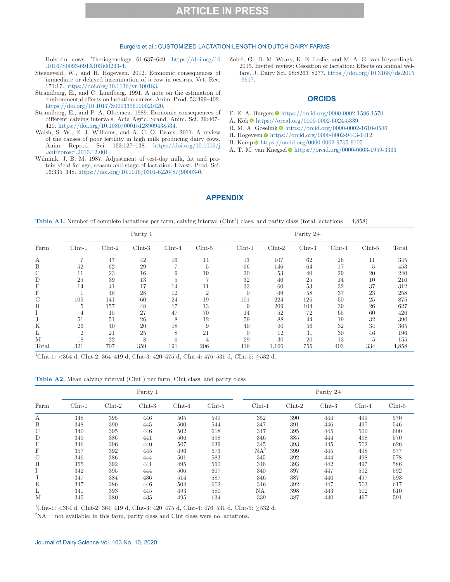#### Burgers et al.: CUSTOMIZED LACTATION LENGTH ON DUTCH DAIRY FARMS

Holstein cows. Theriogenology 61:637–649. [https://doi.org/10](https://doi.org/10.1016/S0093-691X(03)00233-4) [.1016/S0093-691X\(03\)00233-4](https://doi.org/10.1016/S0093-691X(03)00233-4).

- Steeneveld, W., and H. Hogeveen. 2012. Economic consequences of immediate or delayed insemination of a cow in oestrus. Vet. Rec. 171:17. [https://doi.org/10.1136/vr.100183.](https://doi.org/10.1136/vr.100183)
- Strandberg, E., and C. Lundberg. 1991. A note on the estimation of environmental effects on lactation curves. Anim. Prod. 53:399–402. [https://doi.org/10.1017/S0003356100020420.](https://doi.org/10.1017/S0003356100020420)
- Strandberg, E., and P. A. Oltenacu. 1989. Economic consequences of different calving intervals. Acta Agric. Scand. Anim. Sci. 39:407– 420. [https://doi.org/10.1080/00015128909438534.](https://doi.org/10.1080/00015128909438534)
- Walsh, S. W., E. J. Williams, and A. C. O. Evans. 2011. A review of the causes of poor fertility in high milk producing dairy cows. Anim. Reprod. Sci. 123:127–138. [https://doi.org/10.1016/j](https://doi.org/10.1016/j.anireprosci.2010.12.001) [.anireprosci.2010.12.001](https://doi.org/10.1016/j.anireprosci.2010.12.001).
- Wilmink, J. B. M. 1987. Adjustment of test-day milk, fat and protein yield for age, season and stage of lactation. Livest. Prod. Sci. 16:335–348. [https://doi.org/10.1016/0301-6226\(87\)90003-0.](https://doi.org/10.1016/0301-6226(87)90003-0)

Zobel, G., D. M. Weary, K. E. Leslie, and M. A. G. von Keyserlingk. 2015. Invited review: Cessation of lactation: Effects on animal welfare. J. Dairy Sci. 98:8263–8277. [https://doi.org/10.3168/jds.2015](https://doi.org/10.3168/jds.2015-9617) [-9617](https://doi.org/10.3168/jds.2015-9617).

#### **ORCIDS**

- E. E. A. Burgers  $\textcircled{\ensuremath{\bullet}}$  <https://orcid.org/0000-0002-1586-1570>
- A. Kok $\text{\textcircled{\char'44}}$ <https://orcid.org/0000-0002-6024-5339>
- R. M. A. Goselink  $\bullet$  <https://orcid.org/0000-0002-1610-0546>
- H. Hogeveen  $\bullet$  <https://orcid.org/0000-0002-9443-1412>
- B. Kemp  $\bullet$  <https://orcid.org/0000-0002-9765-9105>
- A. T. M. van Knegsel  $\bullet$  <https://orcid.org/0000-0003-1959-3363>

### **APPENDIX**

**Table A1.** Number of complete lactations per farm, calving interval  $(CInt^1)$  class, and parity class (total lactations  $= 4,858$ )

|       |                |          | Parity 1 |          |                |                |          | Parity $2+$ |          |          |       |
|-------|----------------|----------|----------|----------|----------------|----------------|----------|-------------|----------|----------|-------|
| Farm  | $CInt-1$       | $CInt-2$ | $CInt-3$ | $CInt-4$ | $CInt-5$       | $CInt-1$       | $CInt-2$ | $CInt-3$    | $CInt-4$ | $CInt-5$ | Total |
| Α     | $\overline{7}$ | 47       | 42       | 16       | 14             | 13             | 107      | 62          | 26       | 11       | 345   |
| Β     | 52             | 62       | 29       |          | 5              | 66             | 146      | 64          | 17       | 5        | 453   |
| С     | 11             | 23       | 16       | 9        | 19             | 20             | 53       | 40          | 29       | 20       | 240   |
| D     | 25             | 39       | 13       |          |                | 32             | 46       | 25          | 14       | 10       | 216   |
| E     | 14             | 41       | 17       | 14       | 11             | 33             | 60       | 53          | 32       | 37       | 312   |
| F     |                | 48       | 28       | 12       | $\overline{2}$ | $\overline{0}$ | 49       | 58          | 37       | 23       | 258   |
| G     | 105            | 141      | 60       | 24       | 19             | 101            | 224      | 126         | 50       | 25       | 875   |
| Н     | b.             | 157      | 48       | 17       | 13             | 9              | 209      | 104         | 39       | 26       | 627   |
|       | 4              | 15       | 27       | 47       | 70             | 14             | 52       | 72          | 65       | 60       | 426   |
|       | 51             | 51       | 26       | 8        | 12             | 59             | 88       | 44          | 19       | 32       | 390   |
| Κ     | 26             | 40       | 20       | 18       | 9              | 40             | 90       | 56          | 32       | 34       | 365   |
| L     | $\overline{2}$ | 21       | 25       | 8        | 21             |                | 12       | 31          | 30       | 46       | 196   |
| М     | 18             | 22       | 8        | 6        |                | 29             | 30       | 20          | 13       | 5        | 155   |
| Total | 321            | 707      | 359      | 191      | 206            | 416            | 1,166    | 755         | 403      | 334      | 4,858 |

1 CInt-1: <364 d, CInt-2: 364–419 d, CInt-3: 420–475 d, CInt-4: 476–531 d, CInt-5: ≥532 d.

**Table A2.** Mean calving interval  $(CInt^1)$  per farm, CInt class, and parity class

|               |          |          | Parity 1 |          |          |          | Parity $2+$ |          |          |          |  |
|---------------|----------|----------|----------|----------|----------|----------|-------------|----------|----------|----------|--|
| Farm          | $CInt-1$ | $CInt-2$ | $CInt-3$ | $CInt-4$ | $CInt-5$ | $CInt-1$ | $CInt-2$    | $CInt-3$ | $CInt-4$ | $CInt-5$ |  |
| А             | 348      | 395      | 446      | 505      | 590      | 352      | 390         | 444      | 499      | 570      |  |
| Β             | 348      | 390      | 445      | 500      | 544      | 347      | 391         | 446      | 497      | 546      |  |
| $\mathcal{C}$ | 340      | 395      | 446      | 502      | 618      | 347      | 395         | 445      | 500      | 600      |  |
| D             | 349      | 386      | 441      | 506      | 598      | 346      | 385         | 444      | 498      | 570      |  |
| Ε             | 346      | 396      | 440      | 507      | 639      | 345      | 393         | 445      | 502      | 626      |  |
| F             | 357      | 392      | 445      | 496      | 573      | $NA^2$   | 399         | 445      | 498      | 577      |  |
| G             | 346      | 386      | 444      | 501      | 583      | 345      | 392         | 444      | 498      | 578      |  |
| Η             | 355      | 392      | 441      | 495      | 560      | 346      | 393         | 442      | 497      | 586      |  |
|               | 342      | 395      | 444      | 506      | 607      | 340      | 397         | 447      | 502      | 592      |  |
| J.            | 347      | 384      | 436      | 514      | 587      | 346      | 387         | 440      | 497      | 593      |  |
| K             | 347      | 386      | 446      | 504      | 602      | 346      | 392         | 447      | 503      | 617      |  |
| L             | 341      | 393      | 445      | 493      | 580      | ΝA       | 398         | 443      | 502      | 610      |  |
| М             | 345      | 380      | 435      | 495      | 634      | 339      | 387         | 440      | 497      | 591      |  |

<sup>1</sup>CInt-1: <364 d, CInt-2: 364–419 d, CInt-3: 420–475 d, CInt-4: 476–531 d, CInt-5: ≥532 d.

 ${}^{2}NA$  = not available; in this farm, parity class and CInt class were no lactations.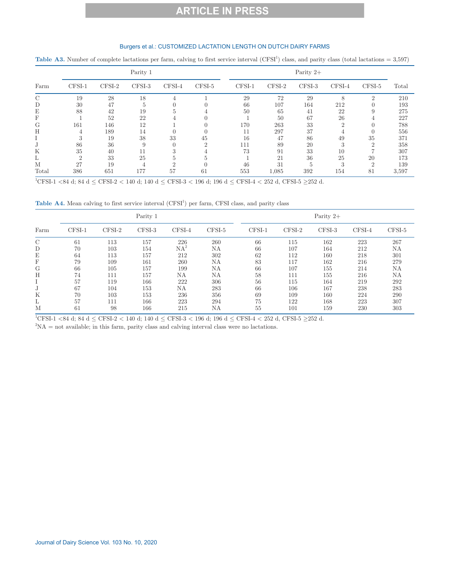### Burgers et al.: CUSTOMIZED LACTATION LENGTH ON DUTCH DAIRY FARMS

**Table A3.** Number of complete lactations per farm, calving to first service interval  $(CFSI^1)$  class, and parity class (total lactations =  $3,597$ )

|       |        |        | Parity 1 |        |          |        |        | Parity $2+$ |          |          |       |
|-------|--------|--------|----------|--------|----------|--------|--------|-------------|----------|----------|-------|
| Farm  | CFSI-1 | CFSI-2 | CFSI-3   | CFSI-4 | CFSI-5   | CFSI-1 | CFSI-2 | CFSI-3      | CFSI-4   | CFSI-5   | Total |
| С     | 19     | 28     | 18       |        |          | 29     | 72     | 29          |          | $\Omega$ | 210   |
| D     | 30     | 47     | h        |        |          | 66     | 107    | 164         | 212      |          | 193   |
| Е     | 88     | 42     | 19       |        |          | 50     | 65     | 41          | 22       |          | 275   |
| F     |        | 52     | 22       |        |          |        | 50     | 67          | 26       |          | 227   |
| G     | 161    | 146    | 12       |        |          | 170    | 263    | 33          | $\Omega$ |          | 788   |
| Н     | 4      | 189    | 14       |        |          |        | 297    | 37          |          |          | 556   |
|       |        | 19     | 38       | 33     | 45       | 16     | 47     | 86          | 49       | 35       | 371   |
|       | 86     | 36     |          |        | $\Omega$ | 111    | 89     | 20          |          |          | 358   |
| Κ     | 35     | 40     | 11       |        |          | 73     | 91     | 33          | 10       |          | 307   |
|       |        | 33     | 25       |        |          |        | 21     | 36          | 25       | 20       | 173   |
| М     | 27     | 19     |          |        |          | 46     | 31     |             |          |          | 139   |
| Total | 386    | 651    | 177      | 57     | 61       | 553    | 1,085  | 392         | 154      | 81       | 3,597 |

 ${}^{1}CFSI-1$  <84 d; 84 d  $\leq$  CFSI-2 < 140 d; 140 d  $\leq$  CFSI-3 < 196 d; 196 d  $\leq$  CFSI-4 < 252 d, CFSI-5  $\geq$ 252 d.

Table A4. Mean calving to first service interval (CFSI<sup>1</sup>) per farm, CFSI class, and parity class

|               |          |          | Parity 1 |          |        |          |        |          |          |          |
|---------------|----------|----------|----------|----------|--------|----------|--------|----------|----------|----------|
| Farm          | $CFSI-1$ | $CFSI-2$ | $CFSI-3$ | $CFSI-4$ | CFSI-5 | $CFSI-1$ | CFSI-2 | $CFSI-3$ | $CFSI-4$ | $CFSI-5$ |
| $\mathcal{C}$ | 61       | 113      | 157      | 226      | 260    | 66       | 115    | 162      | 223      | 267      |
| D             | 70       | 103      | 154      | $NA^2$   | ΝA     | 66       | 107    | 164      | 212      | ΝA       |
| Ε             | 64       | 113      | 157      | 212      | 302    | 62       | 112    | 160      | 218      | 301      |
| F             | 79       | 109      | 161      | 260      | ΝA     | 83       | 117    | 162      | 216      | 279      |
| G             | 66       | 105      | 157      | 199      | ΝA     | 66       | 107    | 155      | 214      | NA       |
| Н             | 74       | 111      | 157      | ΝA       | ΝA     | 58       | 111    | 155      | 216      | ΝA       |
|               | 57       | 119      | 166      | 222      | 306    | 56       | 115    | 164      | 219      | 292      |
| J             | 67       | 104      | 153      | ΝA       | 283    | 66       | 106    | 167      | 238      | 283      |
| $\mathbf K$   | 70       | 103      | 153      | 236      | 356    | 69       | 109    | 160      | 224      | 290      |
| L             | 57       | 111      | 166      | 223      | 294    | 75       | 122    | 168      | 223      | 307      |
| М             | 61       | 98       | 166      | 215      | ΝA     | 55       | 101    | 159      | 230      | 303      |

 $^{1}$ CFSI-1 <84 d; 84 d  $\leq$  CFSI-2 < 140 d; 140 d  $\leq$  CFSI-3 < 196 d; 196 d  $\leq$  CFSI-4 < 252 d, CFSI-5  $\geq$ 252 d.

 ${}^{2}NA$  = not available; in this farm, parity class and calving interval class were no lactations.